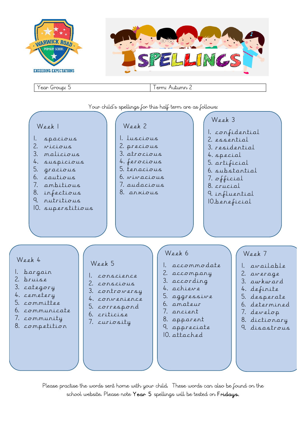



Please practise the words sent home with your child. These words can also be found on the school website. Please note Year 5 spellings will be tested on Fridays.